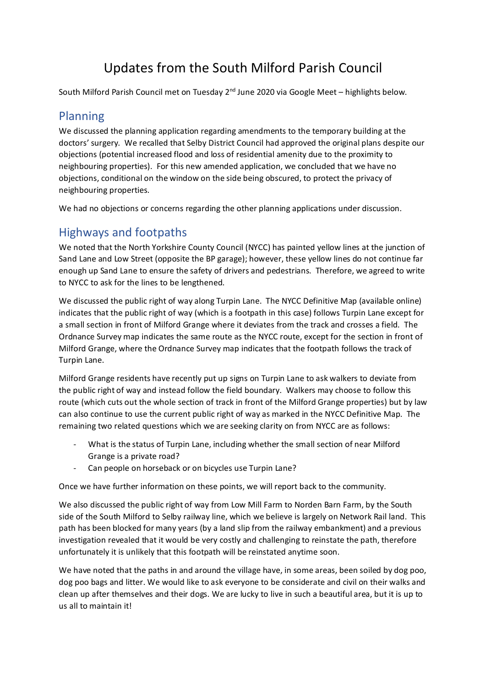# Updates from the South Milford Parish Council

South Milford Parish Council met on Tuesday  $2^{nd}$  June 2020 via Google Meet – highlights below.

#### Planning

We discussed the planning application regarding amendments to the temporary building at the doctors' surgery. We recalled that Selby District Council had approved the original plans despite our objections (potential increased flood and loss of residential amenity due to the proximity to neighbouring properties). For this new amended application, we concluded that we have no objections, conditional on the window on the side being obscured, to protect the privacy of neighbouring properties.

We had no objections or concerns regarding the other planning applications under discussion.

# Highways and footpaths

We noted that the North Yorkshire County Council (NYCC) has painted yellow lines at the junction of Sand Lane and Low Street (opposite the BP garage); however, these yellow lines do not continue far enough up Sand Lane to ensure the safety of drivers and pedestrians. Therefore, we agreed to write to NYCC to ask for the lines to be lengthened.

We discussed the public right of way along Turpin Lane. The NYCC Definitive Map (available online) indicates that the public right of way (which is a footpath in this case) follows Turpin Lane except for a small section in front of Milford Grange where it deviates from the track and crosses a field. The Ordnance Survey map indicates the same route as the NYCC route, except for the section in front of Milford Grange, where the Ordnance Survey map indicates that the footpath follows the track of Turpin Lane.

Milford Grange residents have recently put up signs on Turpin Lane to ask walkers to deviate from the public right of way and instead follow the field boundary. Walkers may choose to follow this route (which cuts out the whole section of track in front of the Milford Grange properties) but by law can also continue to use the current public right of way as marked in the NYCC Definitive Map. The remaining two related questions which we are seeking clarity on from NYCC are as follows:

- What is the status of Turpin Lane, including whether the small section of near Milford Grange is a private road?
- Can people on horseback or on bicycles use Turpin Lane?

Once we have further information on these points, we will report back to the community.

We also discussed the public right of way from Low Mill Farm to Norden Barn Farm, by the South side of the South Milford to Selby railway line, which we believe is largely on Network Rail land. This path has been blocked for many years (by a land slip from the railway embankment) and a previous investigation revealed that it would be very costly and challenging to reinstate the path, therefore unfortunately it is unlikely that this footpath will be reinstated anytime soon.

We have noted that the paths in and around the village have, in some areas, been soiled by dog poo, dog poo bags and litter. We would like to ask everyone to be considerate and civil on their walks and clean up after themselves and their dogs. We are lucky to live in such a beautiful area, but it is up to us all to maintain it!